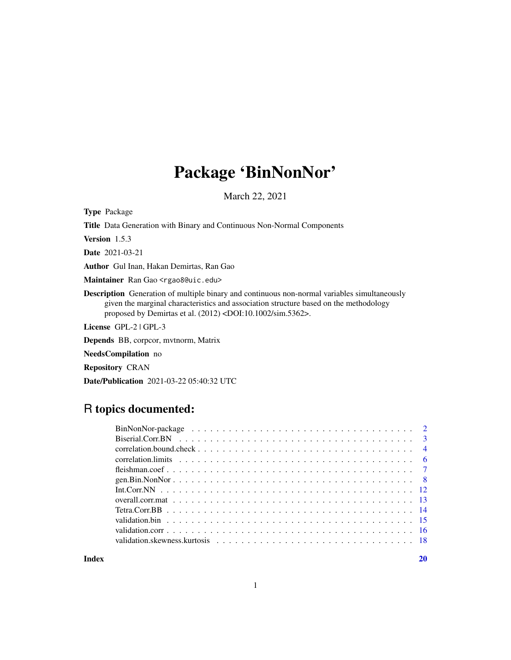## Package 'BinNonNor'

March 22, 2021

Type Package

Title Data Generation with Binary and Continuous Non-Normal Components

Version 1.5.3

Date 2021-03-21

Author Gul Inan, Hakan Demirtas, Ran Gao

Maintainer Ran Gao <rgao8@uic.edu>

Description Generation of multiple binary and continuous non-normal variables simultaneously given the marginal characteristics and association structure based on the methodology proposed by Demirtas et al. (2012) <DOI:10.1002/sim.5362>.

License GPL-2 | GPL-3

Depends BB, corpcor, mvtnorm, Matrix

NeedsCompilation no

Repository CRAN

Date/Publication 2021-03-22 05:40:32 UTC

## R topics documented:

| correlation. limits $\ldots \ldots \ldots \ldots \ldots \ldots \ldots \ldots \ldots \ldots \ldots \ldots \ldots$ |
|------------------------------------------------------------------------------------------------------------------|
|                                                                                                                  |
|                                                                                                                  |
|                                                                                                                  |
|                                                                                                                  |
|                                                                                                                  |
|                                                                                                                  |
|                                                                                                                  |
|                                                                                                                  |

 $\bf 1$ ndex  $\bf 20$  $\bf 20$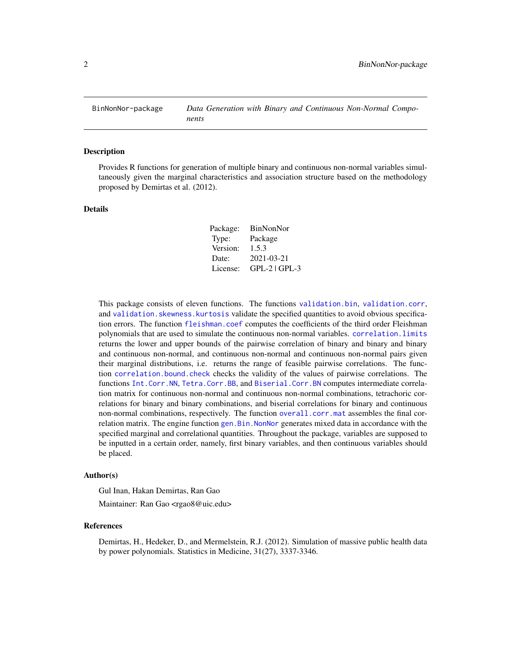<span id="page-1-0"></span>

Provides R functions for generation of multiple binary and continuous non-normal variables simultaneously given the marginal characteristics and association structure based on the methodology proposed by Demirtas et al. (2012).

### Details

| Package: | BinNonNor       |
|----------|-----------------|
| Type:    | Package         |
| Version: | 1.5.3           |
| Date:    | 2021-03-21      |
| License: | $GPL-2$ $GPL-3$ |

This package consists of eleven functions. The functions [validation.bin](#page-14-1), [validation.corr](#page-15-1), and [validation.skewness.kurtosis](#page-17-1) validate the specified quantities to avoid obvious specification errors. The function [fleishman.coef](#page-6-1) computes the coefficients of the third order Fleishman polynomials that are used to simulate the continuous non-normal variables. [correlation.limits](#page-5-1) returns the lower and upper bounds of the pairwise correlation of binary and binary and binary and continuous non-normal, and continuous non-normal and continuous non-normal pairs given their marginal distributions, i.e. returns the range of feasible pairwise correlations. The function [correlation.bound.check](#page-3-1) checks the validity of the values of pairwise correlations. The functions [Int.Corr.NN](#page-11-1), [Tetra.Corr.BB](#page-13-1), and [Biserial.Corr.BN](#page-2-1) computes intermediate correlation matrix for continuous non-normal and continuous non-normal combinations, tetrachoric correlations for binary and binary combinations, and biserial correlations for binary and continuous non-normal combinations, respectively. The function [overall.corr.mat](#page-12-1) assembles the final correlation matrix. The engine function [gen.Bin.NonNor](#page-7-1) generates mixed data in accordance with the specified marginal and correlational quantities. Throughout the package, variables are supposed to be inputted in a certain order, namely, first binary variables, and then continuous variables should be placed.

#### Author(s)

Gul Inan, Hakan Demirtas, Ran Gao

Maintainer: Ran Gao <rgao8@uic.edu>

#### References

Demirtas, H., Hedeker, D., and Mermelstein, R.J. (2012). Simulation of massive public health data by power polynomials. Statistics in Medicine, 31(27), 3337-3346.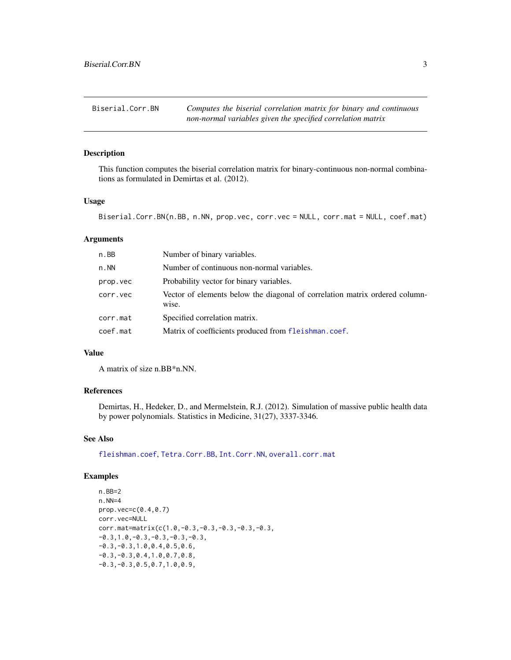<span id="page-2-1"></span><span id="page-2-0"></span>

This function computes the biserial correlation matrix for binary-continuous non-normal combinations as formulated in Demirtas et al. (2012).

## Usage

```
Biserial.Corr.BN(n.BB, n.NN, prop.vec, corr.vec = NULL, corr.mat = NULL, coef.mat)
```
## Arguments

| n.BB     | Number of binary variables.                                                          |
|----------|--------------------------------------------------------------------------------------|
| n. NN    | Number of continuous non-normal variables.                                           |
| prop.vec | Probability vector for binary variables.                                             |
| corr.vec | Vector of elements below the diagonal of correlation matrix ordered column-<br>wise. |
| corr.mat | Specified correlation matrix.                                                        |
| coef.mat | Matrix of coefficients produced from fleishman.coef.                                 |

## Value

A matrix of size n.BB\*n.NN.

## References

Demirtas, H., Hedeker, D., and Mermelstein, R.J. (2012). Simulation of massive public health data by power polynomials. Statistics in Medicine, 31(27), 3337-3346.

## See Also

[fleishman.coef](#page-6-1), [Tetra.Corr.BB](#page-13-1), [Int.Corr.NN](#page-11-1), [overall.corr.mat](#page-12-1)

```
n.BB=2
n.NN=4
prop.vec=c(0.4,0.7)
corr.vec=NULL
corr.mat=matrix(c(1.0,-0.3,-0.3,-0.3,-0.3,-0.3,
-0.3, 1.0, -0.3, -0.3, -0.3, -0.3-0.3,-0.3,1.0,0.4,0.5,0.6,
-0.3, -0.3, 0.4, 1.0, 0.7, 0.8,-0.3,-0.3,0.5,0.7,1.0,0.9,
```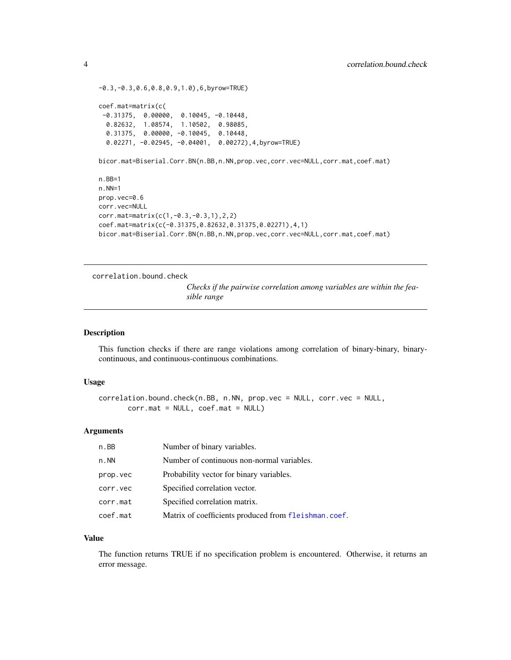```
-0.3,-0.3,0.6,0.8,0.9,1.0),6,byrow=TRUE)
coef.mat=matrix(c(
 -0.31375, 0.00000, 0.10045, -0.10448,
  0.82632, 1.08574, 1.10502, 0.98085,
  0.31375, 0.00000, -0.10045, 0.10448,
  0.02271, -0.02945, -0.04001, 0.00272),4,byrow=TRUE)
bicor.mat=Biserial.Corr.BN(n.BB,n.NN,prop.vec,corr.vec=NULL,corr.mat,coef.mat)
n.BB=1
n.NN=1
prop.vec=0.6
corr.vec=NULL
corr.mat=matrix(c(1,-0.3,-0.3,1),2,2)
coef.mat=matrix(c(-0.31375,0.82632,0.31375,0.02271),4,1)
bicor.mat=Biserial.Corr.BN(n.BB,n.NN,prop.vec,corr.vec=NULL,corr.mat,coef.mat)
```

```
correlation.bound.check
```
*Checks if the pairwise correlation among variables are within the feasible range*

### Description

This function checks if there are range violations among correlation of binary-binary, binarycontinuous, and continuous-continuous combinations.

#### Usage

```
correlation.bound.check(n.BB, n.NN, prop.vec = NULL, corr.vec = NULL,
       corr.mat = NULL, coef.mat = NULL)
```
## Arguments

| n.BB     | Number of binary variables.                          |
|----------|------------------------------------------------------|
| n. NN    | Number of continuous non-normal variables.           |
| prop.vec | Probability vector for binary variables.             |
| corr.vec | Specified correlation vector.                        |
| corr.mat | Specified correlation matrix.                        |
| coef.mat | Matrix of coefficients produced from fleishman.coef. |

#### Value

The function returns TRUE if no specification problem is encountered. Otherwise, it returns an error message.

<span id="page-3-0"></span>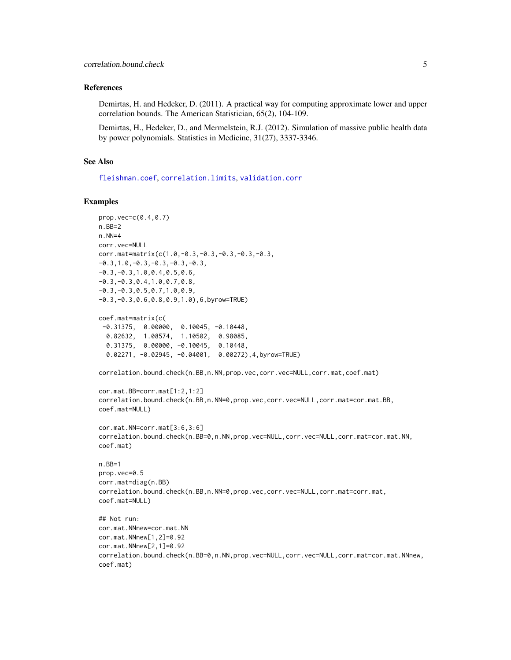### <span id="page-4-0"></span>References

Demirtas, H. and Hedeker, D. (2011). A practical way for computing approximate lower and upper correlation bounds. The American Statistician, 65(2), 104-109.

Demirtas, H., Hedeker, D., and Mermelstein, R.J. (2012). Simulation of massive public health data by power polynomials. Statistics in Medicine, 31(27), 3337-3346.

## See Also

[fleishman.coef](#page-6-1), [correlation.limits](#page-5-1), [validation.corr](#page-15-1)

```
prop.vec=c(0.4,0.7)
n.BB=2
n.NN=4
corr.vec=NULL
corr.mat=matrix(c(1.0,-0.3,-0.3,-0.3,-0.3,-0.3,
-0.3,1.0,-0.3,-0.3,-0.3,-0.3,
-0.3,-0.3,1.0,0.4,0.5,0.6,
-0.3,-0.3,0.4,1.0,0.7,0.8,
-0.3,-0.3,0.5,0.7,1.0,0.9,
-0.3,-0.3,0.6,0.8,0.9,1.0),6,byrow=TRUE)
coef.mat=matrix(c(
 -0.31375, 0.00000, 0.10045, -0.10448,
  0.82632, 1.08574, 1.10502, 0.98085,
  0.31375, 0.00000, -0.10045, 0.10448,
  0.02271, -0.02945, -0.04001, 0.00272),4,byrow=TRUE)
correlation.bound.check(n.BB,n.NN,prop.vec,corr.vec=NULL,corr.mat,coef.mat)
cor.mat.BB=corr.mat[1:2,1:2]
correlation.bound.check(n.BB,n.NN=0,prop.vec,corr.vec=NULL,corr.mat=cor.mat.BB,
coef.mat=NULL)
cor.mat.NN=corr.mat[3:6,3:6]
correlation.bound.check(n.BB=0,n.NN,prop.vec=NULL,corr.vec=NULL,corr.mat=cor.mat.NN,
coef.mat)
n.BB=1
prop.vec=0.5
corr.mat=diag(n.BB)
correlation.bound.check(n.BB,n.NN=0,prop.vec,corr.vec=NULL,corr.mat=corr.mat,
coef.mat=NULL)
## Not run:
cor.mat.NNnew=cor.mat.NN
cor.mat.NNnew[1,2]=0.92
cor.mat.NNnew[2,1]=0.92
correlation.bound.check(n.BB=0,n.NN,prop.vec=NULL,corr.vec=NULL,corr.mat=cor.mat.NNnew,
coef.mat)
```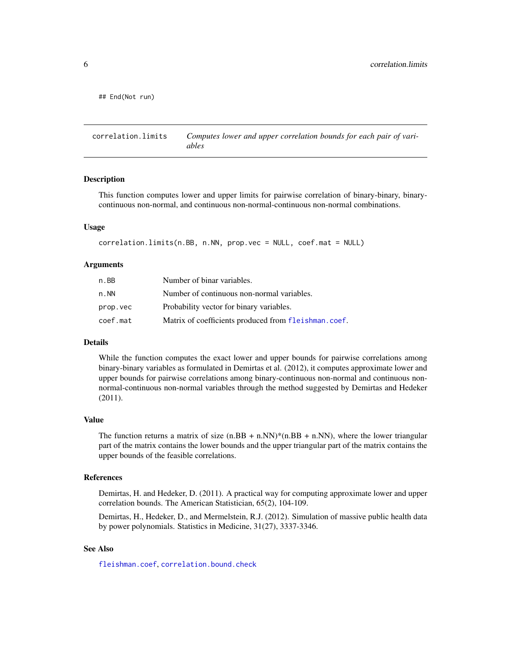<span id="page-5-0"></span>## End(Not run)

<span id="page-5-1"></span>correlation.limits *Computes lower and upper correlation bounds for each pair of variables*

#### **Description**

This function computes lower and upper limits for pairwise correlation of binary-binary, binarycontinuous non-normal, and continuous non-normal-continuous non-normal combinations.

### Usage

```
correlation.limits(n.BB, n.NN, prop.vec = NULL, coef.mat = NULL)
```
#### Arguments

| n.BB     | Number of binar variables.                           |
|----------|------------------------------------------------------|
| n.NN     | Number of continuous non-normal variables.           |
| prop.vec | Probability vector for binary variables.             |
| coef.mat | Matrix of coefficients produced from fleishman.coef. |

#### Details

While the function computes the exact lower and upper bounds for pairwise correlations among binary-binary variables as formulated in Demirtas et al. (2012), it computes approximate lower and upper bounds for pairwise correlations among binary-continuous non-normal and continuous nonnormal-continuous non-normal variables through the method suggested by Demirtas and Hedeker (2011).

#### Value

The function returns a matrix of size  $(n.BB + n.NN)* (n.BB + n.NN)$ , where the lower triangular part of the matrix contains the lower bounds and the upper triangular part of the matrix contains the upper bounds of the feasible correlations.

### References

Demirtas, H. and Hedeker, D. (2011). A practical way for computing approximate lower and upper correlation bounds. The American Statistician, 65(2), 104-109.

Demirtas, H., Hedeker, D., and Mermelstein, R.J. (2012). Simulation of massive public health data by power polynomials. Statistics in Medicine, 31(27), 3337-3346.

## See Also

[fleishman.coef](#page-6-1), [correlation.bound.check](#page-3-1)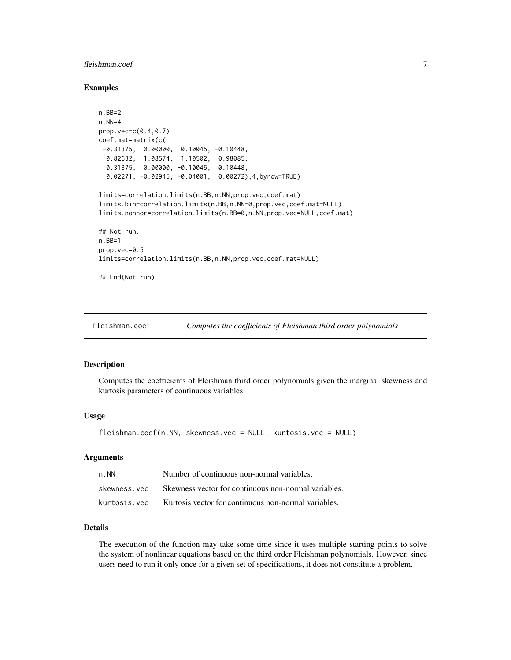## <span id="page-6-0"></span>fleishman.coef 7

#### Examples

```
n.BB=2
n.NN=4
prop.vec=c(0.4,0.7)
coef.mat=matrix(c(
 -0.31375, 0.00000, 0.10045, -0.10448,0.82632, 1.08574, 1.10502, 0.98085,
  0.31375, 0.00000, -0.10045, 0.10448,
  0.02271, -0.02945, -0.04001, 0.00272),4,byrow=TRUE)
limits=correlation.limits(n.BB,n.NN,prop.vec,coef.mat)
limits.bin=correlation.limits(n.BB,n.NN=0,prop.vec,coef.mat=NULL)
limits.nonnor=correlation.limits(n.BB=0,n.NN,prop.vec=NULL,coef.mat)
## Not run:
n.BB=1
prop.vec=0.5
limits=correlation.limits(n.BB,n.NN,prop.vec,coef.mat=NULL)
## End(Not run)
```
<span id="page-6-1"></span>fleishman.coef *Computes the coefficients of Fleishman third order polynomials*

#### Description

Computes the coefficients of Fleishman third order polynomials given the marginal skewness and kurtosis parameters of continuous variables.

## Usage

```
fleishman.coef(n.NN, skewness.vec = NULL, kurtosis.vec = NULL)
```
#### Arguments

| n . NN       | Number of continuous non-normal variables.                         |
|--------------|--------------------------------------------------------------------|
| skewness.vec | Skewness vector for continuous non-normal variables.               |
|              | kurtosis, vec Kurtosis vector for continuous non-normal variables. |

### Details

The execution of the function may take some time since it uses multiple starting points to solve the system of nonlinear equations based on the third order Fleishman polynomials. However, since users need to run it only once for a given set of specifications, it does not constitute a problem.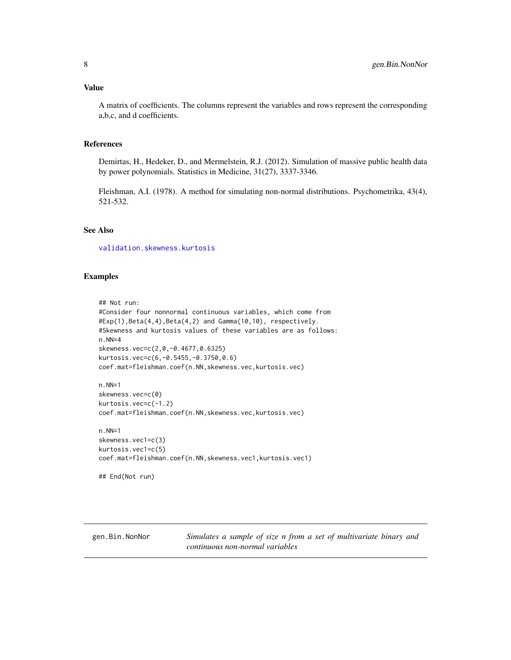<span id="page-7-0"></span>A matrix of coefficients. The columns represent the variables and rows represent the corresponding a,b,c, and d coefficients.

## References

Demirtas, H., Hedeker, D., and Mermelstein, R.J. (2012). Simulation of massive public health data by power polynomials. Statistics in Medicine, 31(27), 3337-3346.

Fleishman, A.I. (1978). A method for simulating non-normal distributions. Psychometrika, 43(4), 521-532.

## See Also

[validation.skewness.kurtosis](#page-17-1)

#### Examples

```
## Not run:
#Consider four nonnormal continuous variables, which come from
#Exp(1),Beta(4,4),Beta(4,2) and Gamma(10,10), respectively.
#Skewness and kurtosis values of these variables are as follows:
n.NN=4
skewness.vec=c(2,0,-0.4677,0.6325)
kurtosis.vec=c(6,-0.5455,-0.3750,0.6)
coef.mat=fleishman.coef(n.NN,skewness.vec,kurtosis.vec)
n.NN=1
skewness.vec=c(0)
kurtosis.vec=c(-1.2)
coef.mat=fleishman.coef(n.NN,skewness.vec,kurtosis.vec)
```
n.NN=1 skewness.vec1=c(3) kurtosis.vec1=c(5) coef.mat=fleishman.coef(n.NN,skewness.vec1,kurtosis.vec1)

```
## End(Not run)
```
<span id="page-7-1"></span>gen.Bin.NonNor *Simulates a sample of size n from a set of multivariate binary and continuous non-normal variables*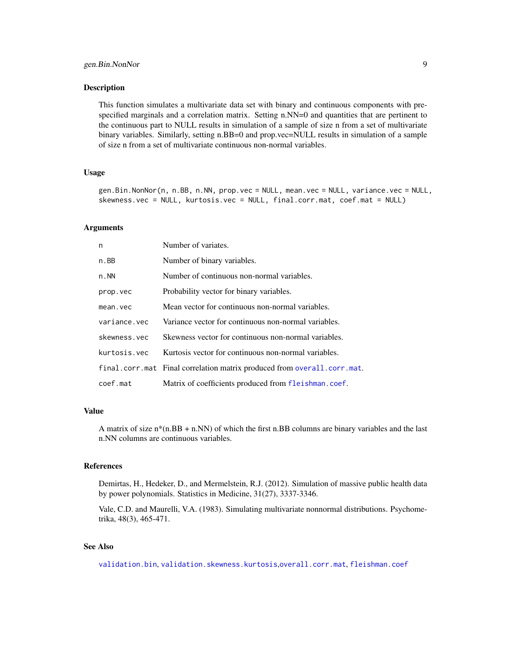<span id="page-8-0"></span>This function simulates a multivariate data set with binary and continuous components with prespecified marginals and a correlation matrix. Setting n.NN=0 and quantities that are pertinent to the continuous part to NULL results in simulation of a sample of size n from a set of multivariate binary variables. Similarly, setting n.BB=0 and prop.vec=NULL results in simulation of a sample of size n from a set of multivariate continuous non-normal variables.

#### Usage

gen.Bin.NonNor(n, n.BB, n.NN, prop.vec = NULL, mean.vec = NULL, variance.vec = NULL, skewness.vec = NULL, kurtosis.vec = NULL, final.corr.mat, coef.mat = NULL)

#### Arguments

| n            | Number of variates.                                                     |
|--------------|-------------------------------------------------------------------------|
| n.BB         | Number of binary variables.                                             |
| n. NN        | Number of continuous non-normal variables.                              |
| prop.vec     | Probability vector for binary variables.                                |
| mean.vec     | Mean vector for continuous non-normal variables.                        |
| variance.vec | Variance vector for continuous non-normal variables.                    |
| skewness.vec | Skewness vector for continuous non-normal variables.                    |
| kurtosis.vec | Kurtosis vector for continuous non-normal variables.                    |
|              | final.corr.mat Final correlation matrix produced from overall.corr.mat. |
| coef.mat     | Matrix of coefficients produced from fleishman.coef.                    |

## Value

A matrix of size n\*(n.BB + n.NN) of which the first n.BB columns are binary variables and the last n.NN columns are continuous variables.

#### References

Demirtas, H., Hedeker, D., and Mermelstein, R.J. (2012). Simulation of massive public health data by power polynomials. Statistics in Medicine, 31(27), 3337-3346.

Vale, C.D. and Maurelli, V.A. (1983). Simulating multivariate nonnormal distributions. Psychometrika, 48(3), 465-471.

## See Also

[validation.bin](#page-14-1), [validation.skewness.kurtosis](#page-17-1),[overall.corr.mat](#page-12-1), [fleishman.coef](#page-6-1)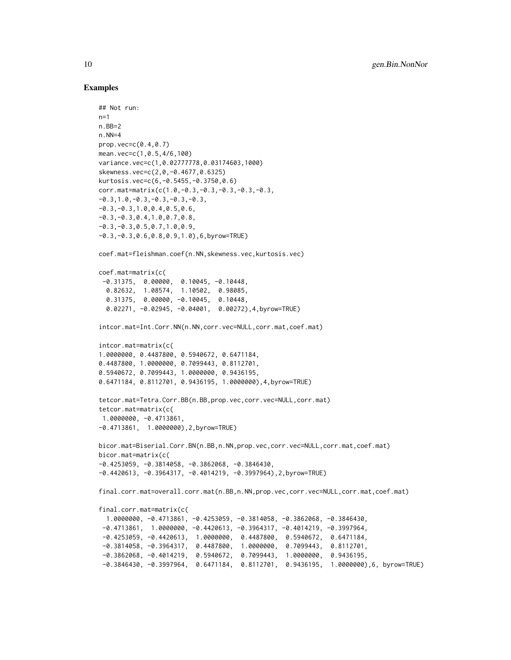```
## Not run:
n=1n.BB=2
n. NN=4
prop.vec=c(0.4,0.7)
mean.vec=c(1,0.5,4/6,100)
variance.vec=c(1,0.02777778,0.03174603,1000)
skewness.vec=c(2,0,-0.4677,0.6325)
kurtosis.vec=c(6,-0.5455,-0.3750,0.6)
corr.mat=matrix(c(1.0,-0.3,-0.3,-0.3,-0.3,-0.3,
-0.3,1.0,-0.3,-0.3,-0.3,-0.3,
-0.3,-0.3,1.0,0.4,0.5,0.6,
-0.3,-0.3,0.4,1.0,0.7,0.8,
-0.3, -0.3, 0.5, 0.7, 1.0, 0.9,-0.3,-0.3,0.6,0.8,0.9,1.0),6,byrow=TRUE)
coef.mat=fleishman.coef(n.NN,skewness.vec,kurtosis.vec)
coef.mat=matrix(c(
 -0.31375, 0.00000, 0.10045, -0.10448,0.82632, 1.08574, 1.10502, 0.98085,
  0.31375, 0.00000, -0.10045, 0.10448,
  0.02271, -0.02945, -0.04001, 0.00272),4,byrow=TRUE)
intcor.mat=Int.Corr.NN(n.NN,corr.vec=NULL,corr.mat,coef.mat)
intcor.mat=matrix(c(
1.0000000, 0.4487800, 0.5940672, 0.6471184,
0.4487800, 1.0000000, 0.7099443, 0.8112701,
0.5940672, 0.7099443, 1.0000000, 0.9436195,
0.6471184, 0.8112701, 0.9436195, 1.0000000),4,byrow=TRUE)
tetcor.mat=Tetra.Corr.BB(n.BB,prop.vec,corr.vec=NULL,corr.mat)
tetcor.mat=matrix(c(
1.0000000, -0.4713861,
-0.4713861, 1.0000000),2,byrow=TRUE)
bicor.mat=Biserial.Corr.BN(n.BB,n.NN,prop.vec,corr.vec=NULL,corr.mat,coef.mat)
bicor.mat=matrix(c(
-0.4253059, -0.3814058, -0.3862068, -0.3846430,
-0.4420613, -0.3964317, -0.4014219, -0.3997964),2,byrow=TRUE)
final.corr.mat=overall.corr.mat(n.BB,n.NN,prop.vec,corr.vec=NULL,corr.mat,coef.mat)
final.corr.mat=matrix(c(
  1.0000000, -0.4713861, -0.4253059, -0.3814058, -0.3862068, -0.3846430,
 -0.4713861, 1.0000000, -0.4420613, -0.3964317, -0.4014219, -0.3997964,
 -0.4253059, -0.4420613, 1.0000000, 0.4487800, 0.5940672, 0.6471184,
 -0.3814058, -0.3964317, 0.4487800, 1.0000000, 0.7099443, 0.8112701,
 -0.3862068, -0.4014219, 0.5940672, 0.7099443, 1.0000000, 0.9436195,
 -0.3846430, -0.3997964, 0.6471184, 0.8112701, 0.9436195, 1.0000000),6, byrow=TRUE)
```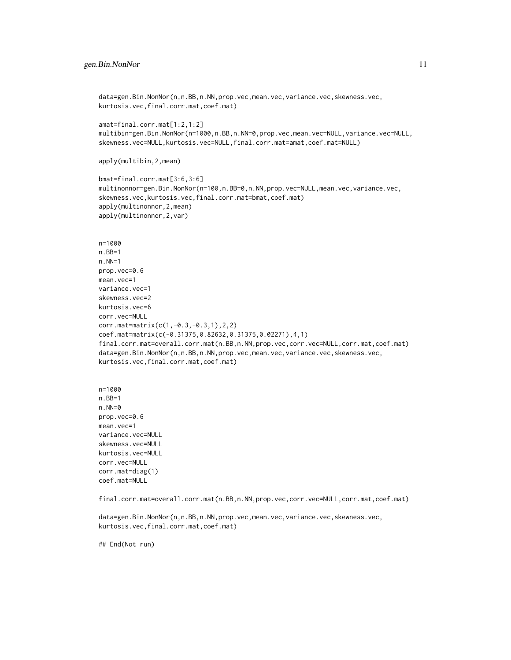```
data=gen.Bin.NonNor(n,n.BB,n.NN,prop.vec,mean.vec,variance.vec,skewness.vec,
kurtosis.vec,final.corr.mat,coef.mat)
amat=final.corr.mat[1:2,1:2]
multibin=gen.Bin.NonNor(n=1000,n.BB,n.NN=0,prop.vec,mean.vec=NULL,variance.vec=NULL,
skewness.vec=NULL,kurtosis.vec=NULL,final.corr.mat=amat,coef.mat=NULL)
apply(multibin,2,mean)
bmat=final.corr.mat[3:6,3:6]
multinonnor=gen.Bin.NonNor(n=100,n.BB=0,n.NN,prop.vec=NULL,mean.vec,variance.vec,
skewness.vec,kurtosis.vec,final.corr.mat=bmat,coef.mat)
apply(multinonnor,2,mean)
apply(multinonnor,2,var)
n=1000
n.BB=1
n.NN=1
prop.vec=0.6
mean.vec=1
variance.vec=1
skewness.vec=2
kurtosis.vec=6
corr.vec=NULL
corr.mat=matrix(c(1,-0.3,-0.3,1),2,2)
coef.mat=matrix(c(-0.31375,0.82632,0.31375,0.02271),4,1)
final.corr.mat=overall.corr.mat(n.BB,n.NN,prop.vec,corr.vec=NULL,corr.mat,coef.mat)
data=gen.Bin.NonNor(n,n.BB,n.NN,prop.vec,mean.vec,variance.vec,skewness.vec,
kurtosis.vec,final.corr.mat,coef.mat)
n=1000
n.BB=1
n.NN=0
prop.vec=0.6
mean.vec=1
variance.vec=NULL
skewness.vec=NULL
kurtosis.vec=NULL
corr.vec=NULL
corr.mat=diag(1)
coef.mat=NULL
final.corr.mat=overall.corr.mat(n.BB,n.NN,prop.vec,corr.vec=NULL,corr.mat,coef.mat)
```

```
data=gen.Bin.NonNor(n,n.BB,n.NN,prop.vec,mean.vec,variance.vec,skewness.vec,
kurtosis.vec,final.corr.mat,coef.mat)
```
## End(Not run)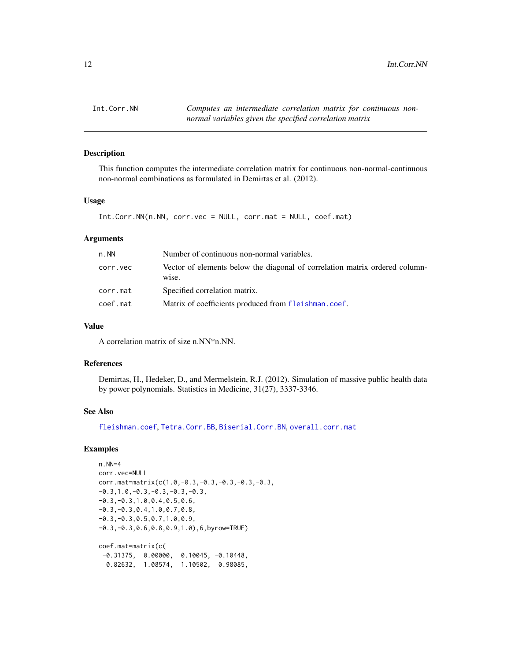<span id="page-11-1"></span><span id="page-11-0"></span>

This function computes the intermediate correlation matrix for continuous non-normal-continuous non-normal combinations as formulated in Demirtas et al. (2012).

## Usage

```
Int.Corr.NN(n.NN, corr.vec = NULL, corr.mat = NULL, coef.mat)
```
## Arguments

| $n$ . NN | Number of continuous non-normal variables.                                           |  |  |  |
|----------|--------------------------------------------------------------------------------------|--|--|--|
| corr.vec | Vector of elements below the diagonal of correlation matrix ordered column-<br>wise. |  |  |  |
| corr.mat | Specified correlation matrix.                                                        |  |  |  |
| coef.mat | Matrix of coefficients produced from fleishman.coef.                                 |  |  |  |

## Value

A correlation matrix of size n.NN\*n.NN.

## References

Demirtas, H., Hedeker, D., and Mermelstein, R.J. (2012). Simulation of massive public health data by power polynomials. Statistics in Medicine, 31(27), 3337-3346.

## See Also

[fleishman.coef](#page-6-1), [Tetra.Corr.BB](#page-13-1), [Biserial.Corr.BN](#page-2-1), [overall.corr.mat](#page-12-1)

```
n.NN=4
corr.vec=NULL
corr.mat=matrix(c(1.0,-0.3,-0.3,-0.3,-0.3,-0.3,
-0.3,1.0,-0.3,-0.3,-0.3,-0.3,
-0.3,-0.3,1.0,0.4,0.5,0.6,
-0.3,-0.3,0.4,1.0,0.7,0.8,
-0.3,-0.3,0.5,0.7,1.0,0.9,
-0.3,-0.3,0.6,0.8,0.9,1.0),6,byrow=TRUE)
coef.mat=matrix(c(
 -0.31375, 0.00000, 0.10045, -0.10448,
  0.82632, 1.08574, 1.10502, 0.98085,
```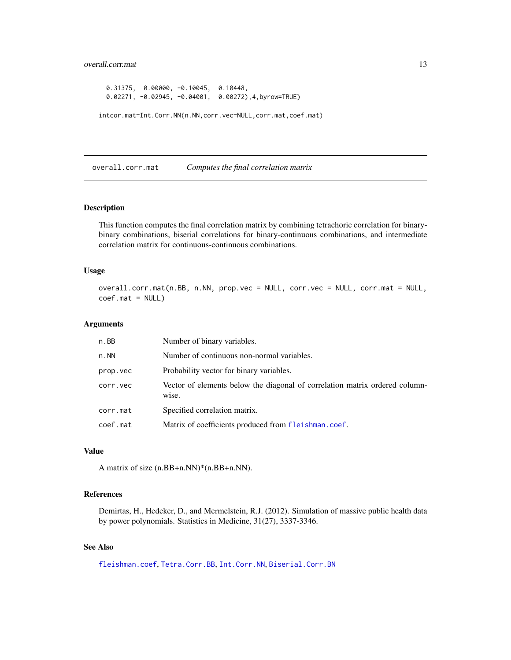## <span id="page-12-0"></span>overall.corr.mat 13

```
0.31375, 0.00000, -0.10045, 0.10448,
 0.02271, -0.02945, -0.04001, 0.00272),4,byrow=TRUE)
intcor.mat=Int.Corr.NN(n.NN,corr.vec=NULL,corr.mat,coef.mat)
```
<span id="page-12-1"></span>overall.corr.mat *Computes the final correlation matrix*

## Description

This function computes the final correlation matrix by combining tetrachoric correlation for binarybinary combinations, biserial correlations for binary-continuous combinations, and intermediate correlation matrix for continuous-continuous combinations.

## Usage

overall.corr.mat(n.BB, n.NN, prop.vec = NULL, corr.vec = NULL, corr.mat = NULL, coef.mat = NULL)

#### Arguments

| n.BB     | Number of binary variables.                                                          |
|----------|--------------------------------------------------------------------------------------|
| n. NN    | Number of continuous non-normal variables.                                           |
| prop.vec | Probability vector for binary variables.                                             |
| corr.vec | Vector of elements below the diagonal of correlation matrix ordered column-<br>wise. |
| corr.mat | Specified correlation matrix.                                                        |
| coef.mat | Matrix of coefficients produced from fleishman.coef.                                 |

#### Value

A matrix of size (n.BB+n.NN)\*(n.BB+n.NN).

## References

Demirtas, H., Hedeker, D., and Mermelstein, R.J. (2012). Simulation of massive public health data by power polynomials. Statistics in Medicine, 31(27), 3337-3346.

## See Also

[fleishman.coef](#page-6-1), [Tetra.Corr.BB](#page-13-1), [Int.Corr.NN](#page-11-1), [Biserial.Corr.BN](#page-2-1)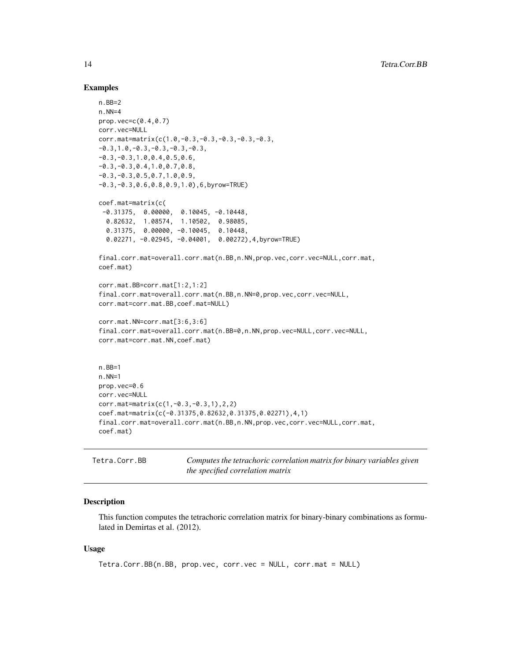#### Examples

```
n.BB=2
n.NN=4
prop.vec=c(0.4,0.7)
corr.vec=NULL
corr.mat=matrix(c(1.0,-0.3,-0.3,-0.3,-0.3,-0.3,
-0.3,1.0,-0.3,-0.3,-0.3,-0.3,
-0.3,-0.3,1.0,0.4,0.5,0.6,
-0.3,-0.3,0.4,1.0,0.7,0.8,
-0.3, -0.3, 0.5, 0.7, 1.0, 0.9,-0.3,-0.3,0.6,0.8,0.9,1.0),6,byrow=TRUE)
coef.mat=matrix(c(
 -0.31375, 0.00000, 0.10045, -0.10448,
  0.82632, 1.08574, 1.10502, 0.98085,
  0.31375, 0.00000, -0.10045, 0.10448,
  0.02271, -0.02945, -0.04001, 0.00272),4,byrow=TRUE)
final.corr.mat=overall.corr.mat(n.BB,n.NN,prop.vec,corr.vec=NULL,corr.mat,
coef.mat)
corr.mat.BB=corr.mat[1:2,1:2]
final.corr.mat=overall.corr.mat(n.BB,n.NN=0,prop.vec,corr.vec=NULL,
corr.mat=corr.mat.BB,coef.mat=NULL)
corr.mat.NN=corr.mat[3:6,3:6]
final.corr.mat=overall.corr.mat(n.BB=0,n.NN,prop.vec=NULL,corr.vec=NULL,
corr.mat=corr.mat.NN,coef.mat)
n.BB=1
n.NN=1
prop.vec=0.6
corr.vec=NULL
corr.mat=matrix(c(1,-0.3,-0.3,1),2,2)
coef.mat=matrix(c(-0.31375,0.82632,0.31375,0.02271),4,1)
final.corr.mat=overall.corr.mat(n.BB,n.NN,prop.vec,corr.vec=NULL,corr.mat,
coef.mat)
```
<span id="page-13-1"></span>

| Tetra.Corr.BB | Computes the tetrachoric correlation matrix for binary variables given |
|---------------|------------------------------------------------------------------------|
|               | the specified correlation matrix                                       |

#### Description

This function computes the tetrachoric correlation matrix for binary-binary combinations as formulated in Demirtas et al. (2012).

## Usage

```
Tetra.Corr.BB(n.BB, prop.vec, corr.vec = NULL, corr.mat = NULL)
```
<span id="page-13-0"></span>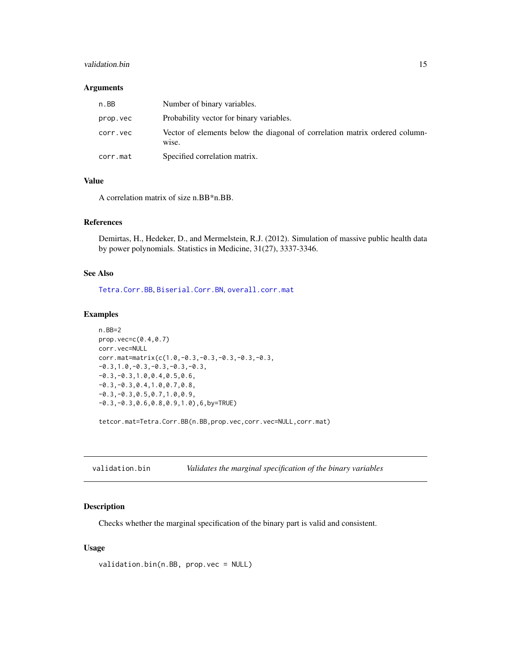## <span id="page-14-0"></span>validation.bin 15

## Arguments

| n.BB     | Number of binary variables.                                                          |
|----------|--------------------------------------------------------------------------------------|
| prop.vec | Probability vector for binary variables.                                             |
| corr.vec | Vector of elements below the diagonal of correlation matrix ordered column-<br>wise. |
| corr.mat | Specified correlation matrix.                                                        |

## Value

A correlation matrix of size n.BB\*n.BB.

#### References

Demirtas, H., Hedeker, D., and Mermelstein, R.J. (2012). Simulation of massive public health data by power polynomials. Statistics in Medicine, 31(27), 3337-3346.

## See Also

[Tetra.Corr.BB](#page-13-1), [Biserial.Corr.BN](#page-2-1), [overall.corr.mat](#page-12-1)

#### Examples

```
n.BB=2
prop.vec=c(0.4,0.7)
corr.vec=NULL
corr.mat=matrix(c(1.0,-0.3,-0.3,-0.3,-0.3,-0.3,
-0.3,1.0,-0.3,-0.3,-0.3,-0.3,
-0.3,-0.3,1.0,0.4,0.5,0.6,
-0.3,-0.3,0.4,1.0,0.7,0.8,
-0.3,-0.3,0.5,0.7,1.0,0.9,
-0.3,-0.3,0.6,0.8,0.9,1.0),6,by=TRUE)
```
tetcor.mat=Tetra.Corr.BB(n.BB,prop.vec,corr.vec=NULL,corr.mat)

<span id="page-14-1"></span>

| validation.bin |  | Validates the marginal specification of the binary variables |  |  |
|----------------|--|--------------------------------------------------------------|--|--|
|----------------|--|--------------------------------------------------------------|--|--|

## Description

Checks whether the marginal specification of the binary part is valid and consistent.

### Usage

```
validation.bin(n.BB, prop.vec = NULL)
```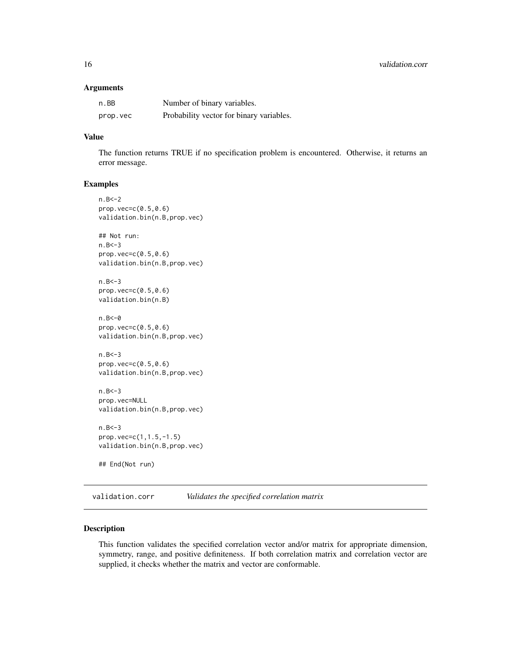#### <span id="page-15-0"></span>Arguments

| n.BB     | Number of binary variables.              |
|----------|------------------------------------------|
| prop.vec | Probability vector for binary variables. |

## Value

The function returns TRUE if no specification problem is encountered. Otherwise, it returns an error message.

### Examples

```
n.B < -2prop.vec=c(0.5,0.6)
validation.bin(n.B,prop.vec)
## Not run:
n.B < -3prop.vec=c(0.5,0.6)
validation.bin(n.B,prop.vec)
n.B < -3prop.vec=(0.5, 0.6)validation.bin(n.B)
n.B < -0prop.vec=c(0.5,0.6)
validation.bin(n.B,prop.vec)
n.B<-3
prop.vec=c(0.5,0.6)
validation.bin(n.B,prop.vec)
n.B < -3prop.vec=NULL
validation.bin(n.B,prop.vec)
n.B<-3
prop.vec=c(1,1.5,-1.5)
validation.bin(n.B,prop.vec)
## End(Not run)
```
<span id="page-15-1"></span>validation.corr *Validates the specified correlation matrix*

## Description

This function validates the specified correlation vector and/or matrix for appropriate dimension, symmetry, range, and positive definiteness. If both correlation matrix and correlation vector are supplied, it checks whether the matrix and vector are conformable.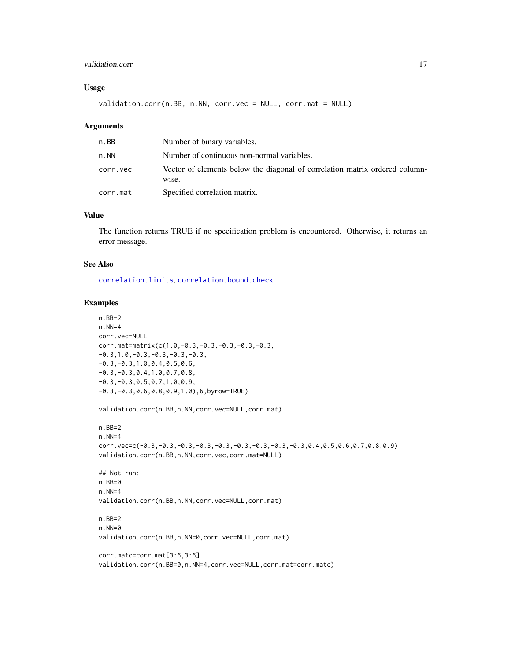## <span id="page-16-0"></span>validation.corr 17

## Usage

validation.corr(n.BB, n.NN, corr.vec = NULL, corr.mat = NULL)

#### Arguments

| n.BB     | Number of binary variables.                                                          |
|----------|--------------------------------------------------------------------------------------|
| n.NN     | Number of continuous non-normal variables.                                           |
| corr.vec | Vector of elements below the diagonal of correlation matrix ordered column-<br>wise. |
| corr.mat | Specified correlation matrix.                                                        |

## Value

The function returns TRUE if no specification problem is encountered. Otherwise, it returns an error message.

#### See Also

[correlation.limits](#page-5-1), [correlation.bound.check](#page-3-1)

```
n.BB=2
n.NN=4
corr.vec=NULL
corr.mat=matrix(c(1.0,-0.3,-0.3,-0.3,-0.3,-0.3,
-0.3,1.0,-0.3,-0.3,-0.3,-0.3,
-0.3,-0.3,1.0,0.4,0.5,0.6,
-0.3,-0.3,0.4,1.0,0.7,0.8,
-0.3,-0.3,0.5,0.7,1.0,0.9,
-0.3,-0.3,0.6,0.8,0.9,1.0),6,byrow=TRUE)
validation.corr(n.BB,n.NN,corr.vec=NULL,corr.mat)
n.BB=2
n.NN=4
corr.vec=c(-0.3,-0.3,-0.3,-0.3,-0.3,-0.3,-0.3,-0.3,-0.3,0.4,0.5,0.6,0.7,0.8,0.9)
validation.corr(n.BB,n.NN,corr.vec,corr.mat=NULL)
## Not run:
n.BB=0
n.NN=4
validation.corr(n.BB,n.NN,corr.vec=NULL,corr.mat)
n.BB=2
n.NN=0
validation.corr(n.BB,n.NN=0,corr.vec=NULL,corr.mat)
corr.matc=corr.mat[3:6,3:6]
validation.corr(n.BB=0,n.NN=4,corr.vec=NULL,corr.mat=corr.matc)
```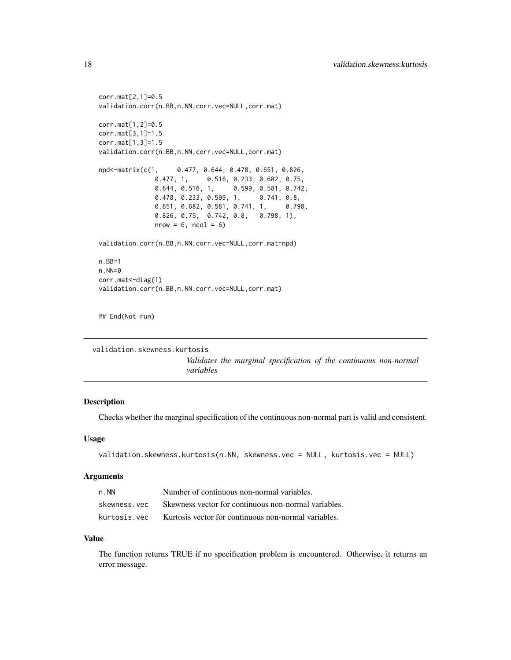```
corr.mat[2,1]=0.5
validation.corr(n.BB,n.NN,corr.vec=NULL,corr.mat)
corr.mat[1,2]=0.5
corr.mat[3,1]=1.5
corr.mat[1,3]=1.5
validation.corr(n.BB,n.NN,corr.vec=NULL,corr.mat)
npd<-matrix(c(1, 0.477, 0.644, 0.478, 0.651, 0.826,
               0.477, 1, 0.516, 0.233, 0.682, 0.75,<br>0.644, 0.516, 1, 0.599, 0.581, 0.742
                                    0.599, 0.581, 0.742,
               0.478, 0.233, 0.599, 1, 0.741, 0.8,
               0.651, 0.682, 0.581, 0.741, 1, 0.798,
               0.826, 0.75, 0.742, 0.8, 0.798, 1),
               nrow = 6, ncol = 6)
validation.corr(n.BB,n.NN,corr.vec=NULL,corr.mat=npd)
n.BB=1
n.NN=0
corr.mat<-diag(1)
validation.corr(n.BB,n.NN,corr.vec=NULL,corr.mat)
```
## End(Not run)

```
validation.skewness.kurtosis
```
*Validates the marginal specification of the continuous non-normal variables*

## Description

Checks whether the marginal specification of the continuous non-normal part is valid and consistent.

#### Usage

```
validation.skewness.kurtosis(n.NN, skewness.vec = NULL, kurtosis.vec = NULL)
```
#### Arguments

| $n$ . NN     | Number of continuous non-normal variables.           |
|--------------|------------------------------------------------------|
| skewness.vec | Skewness vector for continuous non-normal variables. |
| kurtosis.vec | Kurtosis vector for continuous non-normal variables. |

#### Value

The function returns TRUE if no specification problem is encountered. Otherwise, it returns an error message.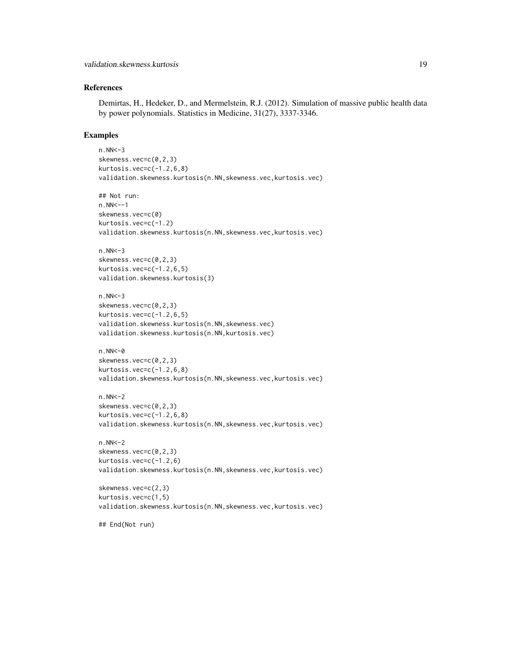## References

Demirtas, H., Hedeker, D., and Mermelstein, R.J. (2012). Simulation of massive public health data by power polynomials. Statistics in Medicine, 31(27), 3337-3346.

#### Examples

```
n.NN<-3skewness.vec=c(0,2,3)
kurtosis.vec=c(-1.2,6,8)
validation.skewness.kurtosis(n.NN,skewness.vec,kurtosis.vec)
## Not run:
n.NN<--1
skewness.vec=c(0)
kurtosis.vec=c(-1.2)
validation.skewness.kurtosis(n.NN,skewness.vec,kurtosis.vec)
n.NN<-3
skewness.vec=c(0,2,3)
kurtosis.vec=c(-1.2,6,5)
validation.skewness.kurtosis(3)
n.NN < -3skewness.vec=c(0,2,3)
kurtosis.vec=c(-1.2, 6, 5)validation.skewness.kurtosis(n.NN,skewness.vec)
validation.skewness.kurtosis(n.NN,kurtosis.vec)
n.NN<-\emptysetskewness.vec=c(0,2,3)
kurtosis.vec=c(-1.2,6,8)
validation.skewness.kurtosis(n.NN,skewness.vec,kurtosis.vec)
n.NN<-2
skewness.vec=c(0,2,3)
kurtosis.vec=c(-1.2,6,8)
validation.skewness.kurtosis(n.NN,skewness.vec,kurtosis.vec)
n.NN<-2skewness.vec=c(0,2,3)
kurtosis.vec=c(-1.2,6)
validation.skewness.kurtosis(n.NN,skewness.vec,kurtosis.vec)
skewness.vec=c(2,3)
kurtosis.vec=c(1,5)
validation.skewness.kurtosis(n.NN,skewness.vec,kurtosis.vec)
```
## End(Not run)